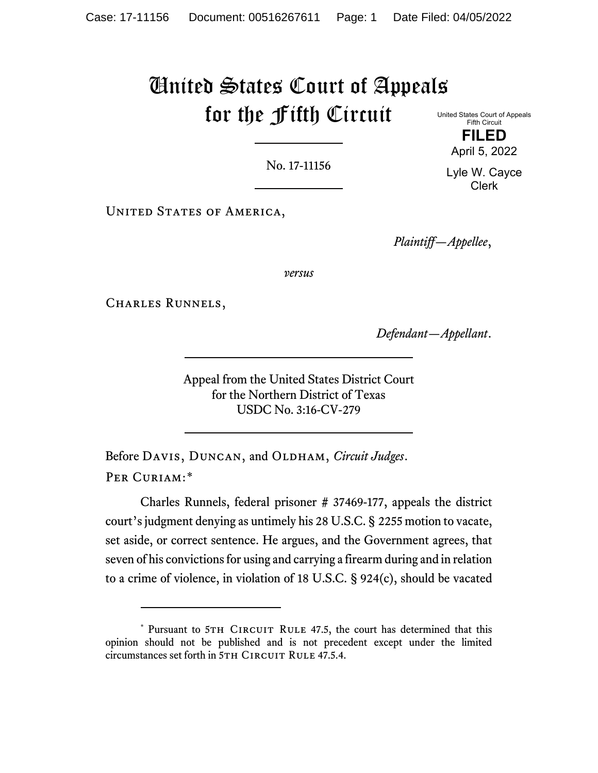# United States Court of Appeals for the Fifth Circuit United States Court of Appeals

No. 17-11156

UNITED STATES OF AMERICA,

*Plaintiff—Appellee*,

*versus*

Charles Runnels,

*Defendant—Appellant*.

Appeal from the United States District Court for the Northern District of Texas USDC No. 3:16-CV-279

Before DAVIS, DUNCAN, and OLDHAM, *Circuit Judges*. PER CURIAM:[\\*](#page-0-0)

Charles Runnels, federal prisoner # 37469-177, appeals the district court's judgment denying as untimely his 28 U.S.C. § 2255 motion to vacate, set aside, or correct sentence. He argues, and the Government agrees, that seven of his convictions for using and carrying a firearm during and in relation to a crime of violence, in violation of 18 U.S.C. § 924(c), should be vacated

April 5, 2022 Lyle W. Cayce

Fifth Circuit **FILED**

Clerk

<span id="page-0-0"></span><sup>\*</sup> Pursuant to 5TH CIRCUIT RULE 47.5, the court has determined that this opinion should not be published and is not precedent except under the limited circumstances set forth in 5TH CIRCUIT RULE 47.5.4.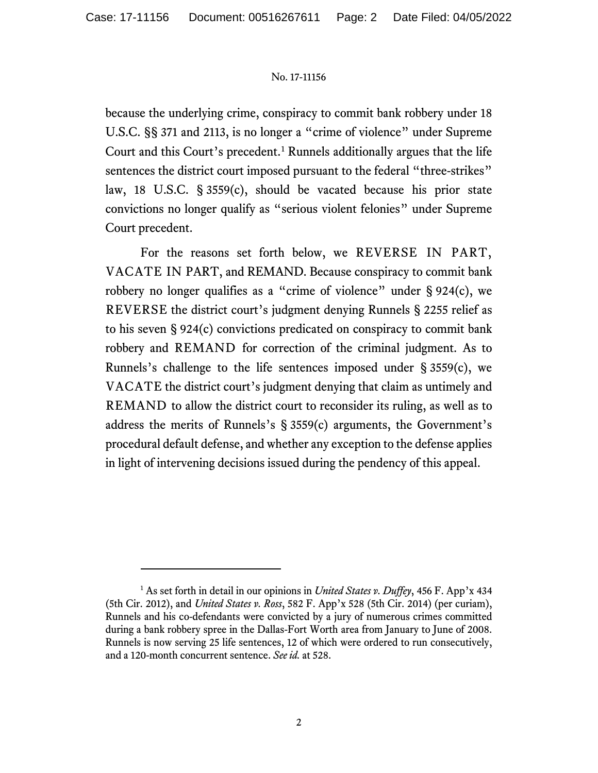because the underlying crime, conspiracy to commit bank robbery under 18 U.S.C. §§ 371 and 2113, is no longer a "crime of violence" under Supreme Court and this Court's precedent.[1](#page-1-0) Runnels additionally argues that the life sentences the district court imposed pursuant to the federal "three-strikes" law, 18 U.S.C. § 3559(c), should be vacated because his prior state convictions no longer qualify as "serious violent felonies" under Supreme Court precedent.

For the reasons set forth below, we REVERSE IN PART, VACATE IN PART, and REMAND. Because conspiracy to commit bank robbery no longer qualifies as a "crime of violence" under § 924(c), we REVERSE the district court's judgment denying Runnels § 2255 relief as to his seven § 924(c) convictions predicated on conspiracy to commit bank robbery and REMAND for correction of the criminal judgment. As to Runnels's challenge to the life sentences imposed under  $\S 3559(c)$ , we VACATE the district court's judgment denying that claim as untimely and REMAND to allow the district court to reconsider its ruling, as well as to address the merits of Runnels's § 3559(c) arguments, the Government's procedural default defense, and whether any exception to the defense applies in light of intervening decisions issued during the pendency of this appeal.

<span id="page-1-0"></span><sup>&</sup>lt;sup>1</sup> As set forth in detail in our opinions in *United States v. Duffey*, 456 F. App'x 434 (5th Cir. 2012), and *United States v. Ross*, 582 F. App'x 528 (5th Cir. 2014) (per curiam), Runnels and his co-defendants were convicted by a jury of numerous crimes committed during a bank robbery spree in the Dallas-Fort Worth area from January to June of 2008. Runnels is now serving 25 life sentences, 12 of which were ordered to run consecutively, and a 120-month concurrent sentence. *See id.* at 528.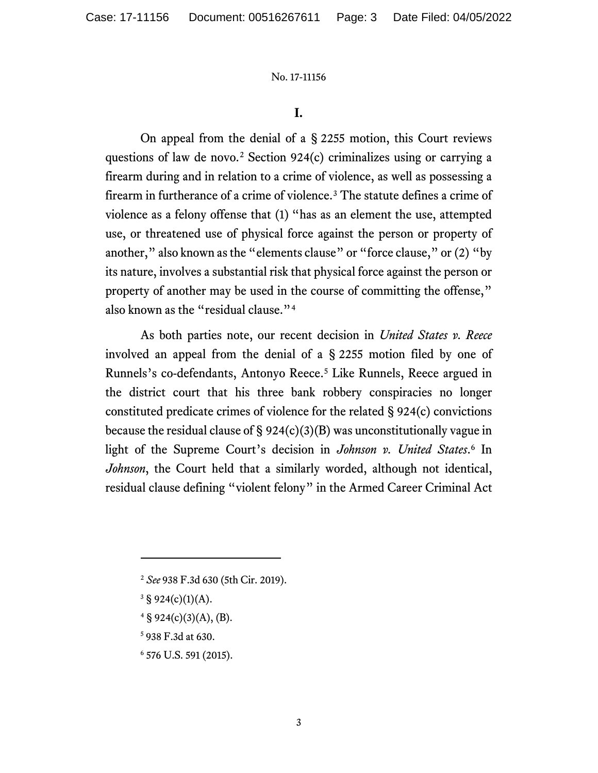### **I.**

On appeal from the denial of a § 2255 motion, this Court reviews questions of law de novo. [2](#page-2-0) Section 924(c) criminalizes using or carrying a firearm during and in relation to a crime of violence, as well as possessing a firearm in furtherance of a crime of violence.[3](#page-2-1) The statute defines a crime of violence as a felony offense that (1) "has as an element the use, attempted use, or threatened use of physical force against the person or property of another," also known as the "elements clause" or "force clause," or (2) "by its nature, involves a substantial risk that physical force against the person or property of another may be used in the course of committing the offense," also known as the "residual clause."<sup>[4](#page-2-2)</sup>

As both parties note, our recent decision in *United States v. Reece* involved an appeal from the denial of a § 2255 motion filed by one of Runnels's co-defendants, Antonyo Reece.<sup>[5](#page-2-3)</sup> Like Runnels, Reece argued in the district court that his three bank robbery conspiracies no longer constituted predicate crimes of violence for the related § 924(c) convictions because the residual clause of  $\S 924(c)(3)(B)$  was unconstitutionally vague in light of the Supreme Court's decision in *Johnson v. United States*. [6](#page-2-4) In *Johnson*, the Court held that a similarly worded, although not identical, residual clause defining "violent felony" in the Armed Career Criminal Act

- <span id="page-2-2"></span><span id="page-2-1"></span><span id="page-2-0"></span> $3 \text{ } 924(c)(1)(A).$
- $4 \S$  924(c)(3)(A), (B).
- <span id="page-2-3"></span><sup>5</sup> 938 F.3d at 630.
- <span id="page-2-4"></span><sup>6</sup> 576 U.S. 591 (2015).

<sup>2</sup> *See* 938 F.3d 630 (5th Cir. 2019).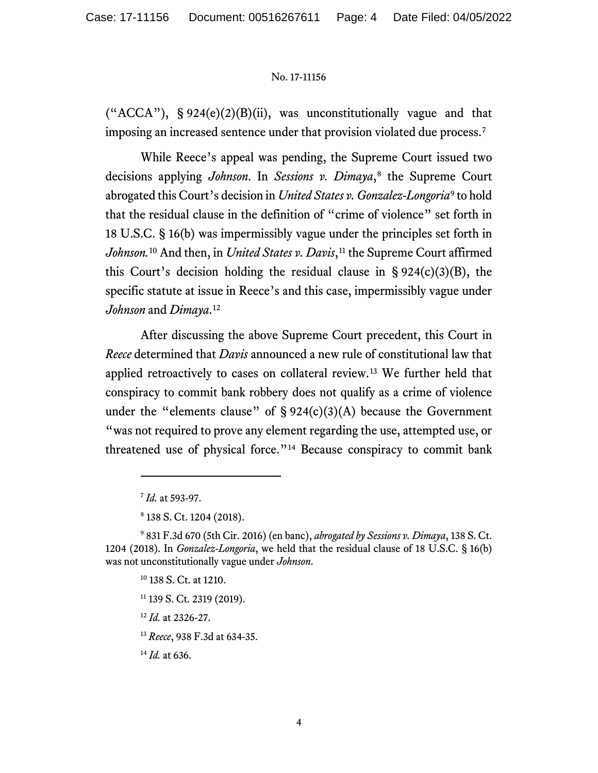("ACCA"),  $\S 924(e)(2)(B)(ii)$ , was unconstitutionally vague and that imposing an increased sentence under that provision violated due process.[7](#page-3-0)

While Reece's appeal was pending, the Supreme Court issued two decisions applying *Johnson*. In *Sessions v. Dimaya*,<sup>[8](#page-3-1)</sup> the Supreme Court abrogated this Court's decision in *United States v. Gonzalez-Longoria*[9](#page-3-2) to hold that the residual clause in the definition of "crime of violence" set forth in 18 U.S.C. § 16(b) was impermissibly vague under the principles set forth in Johnson.<sup>[10](#page-3-3)</sup> And then, in *United States v. Davis*,<sup>[11](#page-3-4)</sup> the Supreme Court affirmed this Court's decision holding the residual clause in  $\S 924(c)(3)(B)$ , the specific statute at issue in Reece's and this case, impermissibly vague under *Johnson* and *Dimaya*.[12](#page-3-5)

After discussing the above Supreme Court precedent, this Court in *Reece* determined that *Davis* announced a new rule of constitutional law that applied retroactively to cases on collateral review.[13](#page-3-6) We further held that conspiracy to commit bank robbery does not qualify as a crime of violence under the "elements clause" of  $\S 924(c)(3)(A)$  because the Government "was not required to prove any element regarding the use, attempted use, or threatened use of physical force."[14](#page-3-7) Because conspiracy to commit bank

- <sup>11</sup> 139 S. Ct. 2319 (2019).
- <sup>12</sup> *Id.* at 2326-27.

<sup>13</sup> *Reece*, 938 F.3d at 634-35.

<span id="page-3-7"></span><span id="page-3-6"></span><sup>14</sup> *Id.* at 636.

<sup>7</sup> *Id.* at 593-97.

<sup>8</sup> 138 S. Ct. 1204 (2018).

<span id="page-3-5"></span><span id="page-3-4"></span><span id="page-3-3"></span><span id="page-3-2"></span><span id="page-3-1"></span><span id="page-3-0"></span><sup>9</sup> 831 F.3d 670 (5th Cir. 2016) (en banc), *abrogated by Sessions v. Dimaya*, 138 S. Ct. 1204 (2018). In *Gonzalez-Longoria*, we held that the residual clause of 18 U.S.C. § 16(b) was not unconstitutionally vague under *Johnson*.

<sup>&</sup>lt;sup>10</sup> 138 S. Ct. at 1210.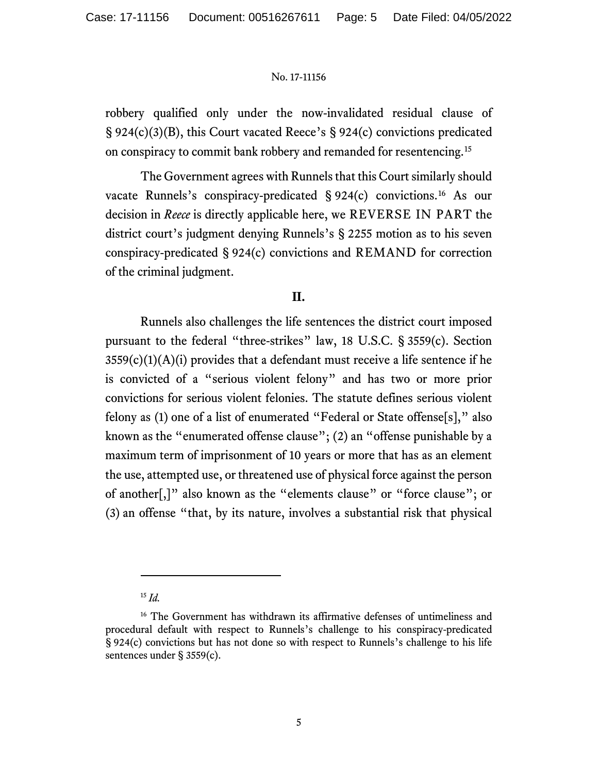robbery qualified only under the now-invalidated residual clause of § 924(c)(3)(B), this Court vacated Reece's § 924(c) convictions predicated on conspiracy to commit bank robbery and remanded for resentencing.[15](#page-4-0)

The Government agrees with Runnels that this Court similarly should vacate Runnels's conspiracy-predicated § 924(c) convictions.[16](#page-4-1) As our decision in *Reece* is directly applicable here, we REVERSE IN PART the district court's judgment denying Runnels's § 2255 motion as to his seven conspiracy-predicated § 924(c) convictions and REMAND for correction of the criminal judgment.

# **II.**

Runnels also challenges the life sentences the district court imposed pursuant to the federal "three-strikes" law, 18 U.S.C. § 3559(c). Section  $3559(c)(1)(A)(i)$  provides that a defendant must receive a life sentence if he is convicted of a "serious violent felony" and has two or more prior convictions for serious violent felonies. The statute defines serious violent felony as (1) one of a list of enumerated "Federal or State offense[s]," also known as the "enumerated offense clause"; (2) an "offense punishable by a maximum term of imprisonment of 10 years or more that has as an element the use, attempted use, or threatened use of physical force against the person of another[,]" also known as the "elements clause" or "force clause"; or (3) an offense "that, by its nature, involves a substantial risk that physical

<sup>15</sup> *Id.*

<span id="page-4-1"></span><span id="page-4-0"></span><sup>&</sup>lt;sup>16</sup> The Government has withdrawn its affirmative defenses of untimeliness and procedural default with respect to Runnels's challenge to his conspiracy-predicated § 924(c) convictions but has not done so with respect to Runnels's challenge to his life sentences under § 3559(c).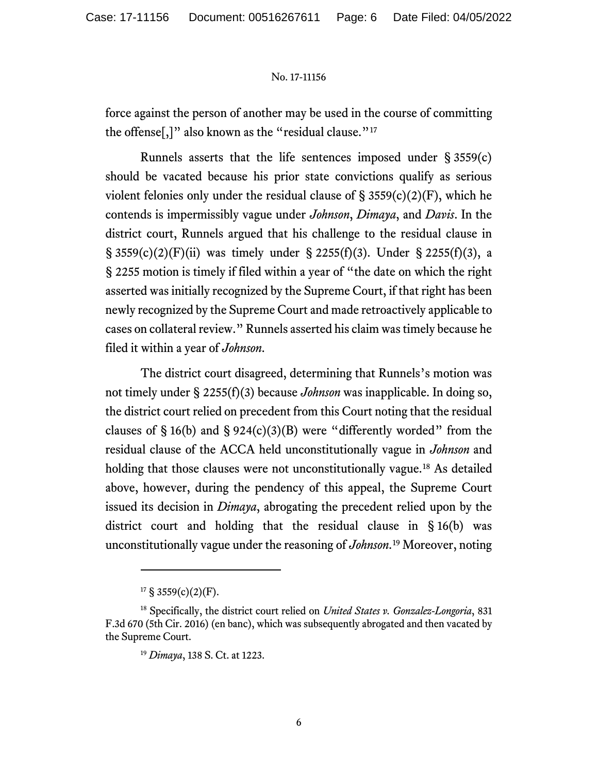force against the person of another may be used in the course of committing the offense[,]" also known as the "residual clause."<sup>[17](#page-5-0)</sup>

Runnels asserts that the life sentences imposed under § 3559(c) should be vacated because his prior state convictions qualify as serious violent felonies only under the residual clause of  $\S$  3559(c)(2)(F), which he contends is impermissibly vague under *Johnson*, *Dimaya*, and *Davis*. In the district court, Runnels argued that his challenge to the residual clause in § 3559(c)(2)(F)(ii) was timely under § 2255(f)(3). Under § 2255(f)(3), a § 2255 motion is timely if filed within a year of "the date on which the right asserted was initially recognized by the Supreme Court, if that right has been newly recognized by the Supreme Court and made retroactively applicable to cases on collateral review." Runnels asserted his claim was timely because he filed it within a year of *Johnson*.

The district court disagreed, determining that Runnels's motion was not timely under § 2255(f)(3) because *Johnson* was inapplicable. In doing so, the district court relied on precedent from this Court noting that the residual clauses of  $\S 16(b)$  and  $\S 924(c)(3)(B)$  were "differently worded" from the residual clause of the ACCA held unconstitutionally vague in *Johnson* and holding that those clauses were not unconstitutionally vague.<sup>[18](#page-5-1)</sup> As detailed above, however, during the pendency of this appeal, the Supreme Court issued its decision in *Dimaya*, abrogating the precedent relied upon by the district court and holding that the residual clause in § 16(b) was unconstitutionally vague under the reasoning of *Johnson*.[19](#page-5-2) Moreover, noting

 $17 \text{ }$ § 3559(c)(2)(F).

<span id="page-5-2"></span><span id="page-5-1"></span><span id="page-5-0"></span><sup>18</sup> Specifically, the district court relied on *United States v. Gonzalez-Longoria*, 831 F.3d 670 (5th Cir. 2016) (en banc), which was subsequently abrogated and then vacated by the Supreme Court.

<sup>19</sup> *Dimaya*, 138 S. Ct. at 1223.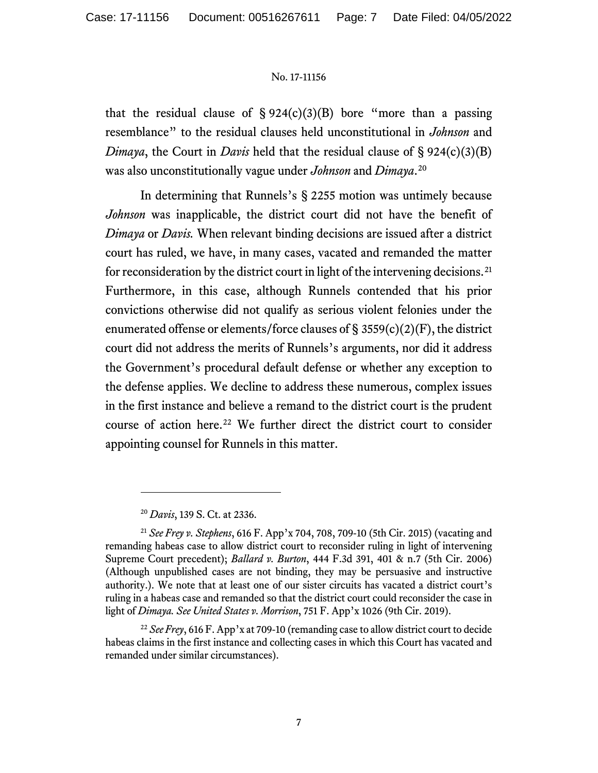that the residual clause of  $\S 924(c)(3)(B)$  bore "more than a passing resemblance" to the residual clauses held unconstitutional in *Johnson* and *Dimaya*, the Court in *Davis* held that the residual clause of § 924(c)(3)(B) was also unconstitutionally vague under *Johnson* and *Dimaya*. [20](#page-6-0)

In determining that Runnels's § 2255 motion was untimely because *Johnson* was inapplicable, the district court did not have the benefit of *Dimaya* or *Davis.* When relevant binding decisions are issued after a district court has ruled, we have, in many cases, vacated and remanded the matter for reconsideration by the district court in light of the intervening decisions. [21](#page-6-1) Furthermore, in this case, although Runnels contended that his prior convictions otherwise did not qualify as serious violent felonies under the enumerated offense or elements/force clauses of § 3559(c)(2)(F), the district court did not address the merits of Runnels's arguments, nor did it address the Government's procedural default defense or whether any exception to the defense applies. We decline to address these numerous, complex issues in the first instance and believe a remand to the district court is the prudent course of action here. [22](#page-6-2) We further direct the district court to consider appointing counsel for Runnels in this matter.

<sup>20</sup> *Davis*, 139 S. Ct. at 2336.

<span id="page-6-1"></span><span id="page-6-0"></span><sup>21</sup> *See Frey v. Stephens*, 616 F. App'x 704, 708, 709-10 (5th Cir. 2015) (vacating and remanding habeas case to allow district court to reconsider ruling in light of intervening Supreme Court precedent); *Ballard v. Burton*, 444 F.3d 391, 401 & n.7 (5th Cir. 2006) (Although unpublished cases are not binding, they may be persuasive and instructive authority.). We note that at least one of our sister circuits has vacated a district court's ruling in a habeas case and remanded so that the district court could reconsider the case in light of *Dimaya. See United States v. Morrison*, 751 F. App'x 1026 (9th Cir. 2019).

<span id="page-6-2"></span><sup>&</sup>lt;sup>22</sup> *See Frey*, 616 F. App'x at 709-10 (remanding case to allow district court to decide habeas claims in the first instance and collecting cases in which this Court has vacated and remanded under similar circumstances).